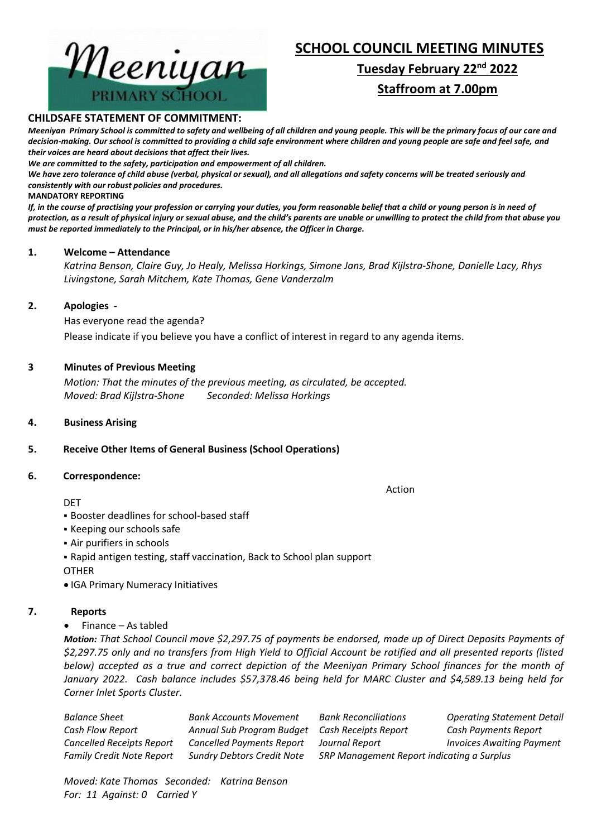

# **SCHOOL COUNCIL MEETING MINUTES**

# **Tuesday February 22nd 2022 Staffroom at 7.00pm**

### **CHILDSAFE STATEMENT OF COMMITMENT:**

*Meeniyan Primary School is committed to safety and wellbeing of all children and young people. This will be the primary focus of our care and decision-making. Our school is committed to providing a child safe environment where children and young people are safe and feel safe, and their voices are heard about decisions that affect their lives.*

*We are committed to the safety, participation and empowerment of all children.*

*We have zero tolerance of child abuse (verbal, physical or sexual), and all allegations and safety concerns will be treated seriously and consistently with our robust policies and procedures.*

#### **MANDATORY REPORTING**

*If, in the course of practising your profession or carrying your duties, you form reasonable belief that a child or young person is in need of protection, as a result of physical injury or sexual abuse, and the child's parents are unable or unwilling to protect the child from that abuse you must be reported immediately to the Principal, or in his/her absence, the Officer in Charge.*

### **1. Welcome – Attendance**

*Katrina Benson, Claire Guy, Jo Healy, Melissa Horkings, Simone Jans, Brad Kijlstra-Shone, Danielle Lacy, Rhys Livingstone, Sarah Mitchem, Kate Thomas, Gene Vanderzalm*

### **2. Apologies -**

Has everyone read the agenda? Please indicate if you believe you have a conflict of interest in regard to any agenda items.

### **3 Minutes of Previous Meeting**

*Motion: That the minutes of the previous meeting, as circulated, be accepted. Moved: Brad Kijlstra-Shone Seconded: Melissa Horkings*

### **4. Business Arising**

### **5. Receive Other Items of General Business (School Operations)**

### **6. Correspondence:**

#### **DET**

Action

- Booster deadlines for school-based staff
- Keeping our schools safe
- Air purifiers in schools

▪ Rapid antigen testing, staff vaccination, Back to School plan support

- OTHER
- IGA Primary Numeracy Initiatives

### **7. Reports**

• Finance – As tabled

*Motion: That School Council move \$2,297.75 of payments be endorsed, made up of Direct Deposits Payments of \$2,297.75 only and no transfers from High Yield to Official Account be ratified and all presented reports (listed below) accepted as a true and correct depiction of the Meeniyan Primary School finances for the month of January 2022. Cash balance includes \$57,378.46 being held for MARC Cluster and \$4,589.13 being held for Corner Inlet Sports Cluster.*

| Balance Sheet                    | <b>Bank Accounts Movement</b>     | <b>Bank Reconciliations</b>                | <b>Operating Statement Detail</b> |
|----------------------------------|-----------------------------------|--------------------------------------------|-----------------------------------|
| Cash Flow Report                 | Annual Sub Program Budget         | Cash Receipts Report                       | Cash Payments Report              |
| <b>Cancelled Receipts Report</b> | <b>Cancelled Payments Report</b>  | Journal Report                             | <b>Invoices Awaiting Payment</b>  |
| <b>Family Credit Note Report</b> | <b>Sundry Debtors Credit Note</b> | SRP Management Report indicating a Surplus |                                   |
|                                  |                                   |                                            |                                   |

*Moved: Kate Thomas Seconded: Katrina Benson For: 11 Against: 0 Carried Y*